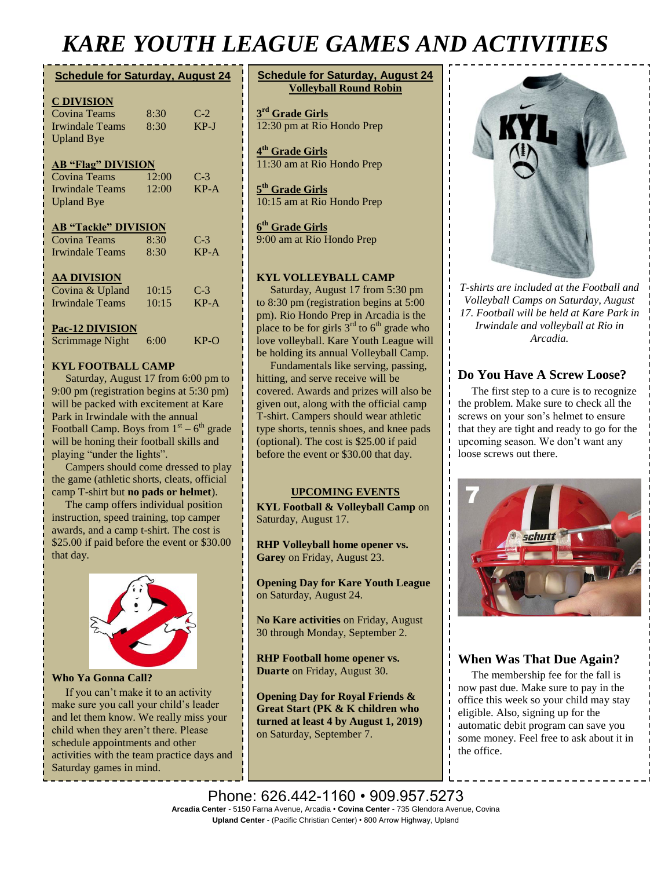# *KARE YOUTH LEAGUE GAMES AND ACTIVITIES*

| <b>Schedule for Saturday, August 24</b> |       |        |
|-----------------------------------------|-------|--------|
| <b>C DIVISION</b>                       |       |        |
| <b>Covina Teams</b>                     | 8:30  | $C-2$  |
| Irwindale Teams                         | 8:30  | $KP-J$ |
| <b>Upland Bye</b>                       |       |        |
| <b>AB "Flag" DIVISION</b>               |       |        |
| <b>Covina Teams</b>                     | 12:00 | $C-3$  |
| Irwindale Teams                         | 12:00 | $KP-A$ |
| <b>Upland Bye</b>                       |       |        |
| <b>AB "Tackle" DIVISION</b>             |       |        |
| Covina Teams                            | 8:30  | $C-3$  |
| Irwindale Teams                         | 8:30  | $KP-A$ |
| <b>AA DIVISION</b>                      |       |        |
| Covina & Upland                         | 10:15 | $C-3$  |
| <b>Irwindale Teams</b>                  | 10:15 | $KP-A$ |
| <b>Pac-12 DIVISION</b>                  |       |        |
| Scrimmage Night                         | 6:00  | $KP-O$ |

#### **KYL FOOTBALL CAMP**

Saturday, August 17 from 6:00 pm to 9:00 pm (registration begins at 5:30 pm) will be packed with excitement at Kare Park in Irwindale with the annual Football Camp. Boys from  $1<sup>st</sup> - 6<sup>th</sup>$  grade will be honing their football skills and playing "under the lights".

 Campers should come dressed to play the game (athletic shorts, cleats, official camp T-shirt but **no pads or helmet**).

 The camp offers individual position instruction, speed training, top camper awards, and a camp t-shirt. The cost is \$25.00 if paid before the event or \$30.00 that day.



**Who Ya Gonna Call?**

 If you can't make it to an activity make sure you call your child's leader and let them know. We really miss your child when they aren't there. Please schedule appointments and other activities with the team practice days and Saturday games in mind.

#### **Schedule for Saturday, August 24 Volleyball Round Robin**

**3 rd Grade Girls** 12:30 pm at Rio Hondo Prep

**4 th Grade Girls** 11:30 am at Rio Hondo Prep

**5 th Grade Girls** 10:15 am at Rio Hondo Prep

**6 th Grade Girls** 9:00 am at Rio Hondo Prep

#### **KYL VOLLEYBALL CAMP**

Saturday, August 17 from 5:30 pm to 8:30 pm (registration begins at 5:00 pm). Rio Hondo Prep in Arcadia is the place to be for girls  $3<sup>rd</sup>$  to  $6<sup>th</sup>$  grade who love volleyball. Kare Youth League will be holding its annual Volleyball Camp.

 Fundamentals like serving, passing, hitting, and serve receive will be covered. Awards and prizes will also be given out, along with the official camp T-shirt. Campers should wear athletic type shorts, tennis shoes, and knee pads (optional). The cost is \$25.00 if paid before the event or \$30.00 that day.

#### **UPCOMING EVENTS**

**KYL Football & Volleyball Camp** on Saturday, August 17.

**RHP Volleyball home opener vs. Garey** on Friday, August 23.

**Opening Day for Kare Youth League**  on Saturday, August 24.

**No Kare activities** on Friday, August 30 through Monday, September 2.

**RHP Football home opener vs. Duarte** on Friday, August 30.

**Opening Day for Royal Friends & Great Start (PK & K children who turned at least 4 by August 1, 2019)** on Saturday, September 7.



*T-shirts are included at the Football and Volleyball Camps on Saturday, August 17. Football will be held at Kare Park in Irwindale and volleyball at Rio in Arcadia.*

#### **Do You Have A Screw Loose?**

 The first step to a cure is to recognize the problem. Make sure to check all the screws on your son's helmet to ensure that they are tight and ready to go for the upcoming season. We don't want any loose screws out there.



#### **When Was That Due Again?**

 The membership fee for the fall is now past due. Make sure to pay in the office this week so your child may stay eligible. Also, signing up for the automatic debit program can save you some money. Feel free to ask about it in the office.

Phone: 626.442-1160 • 909.957.5273 **Arcadia Center** - 5150 Farna Avenue, Arcadia • **Covina Center** - 735 Glendora Avenue, Covina **Upland Center** - (Pacific Christian Center) • 800 Arrow Highway, Upland